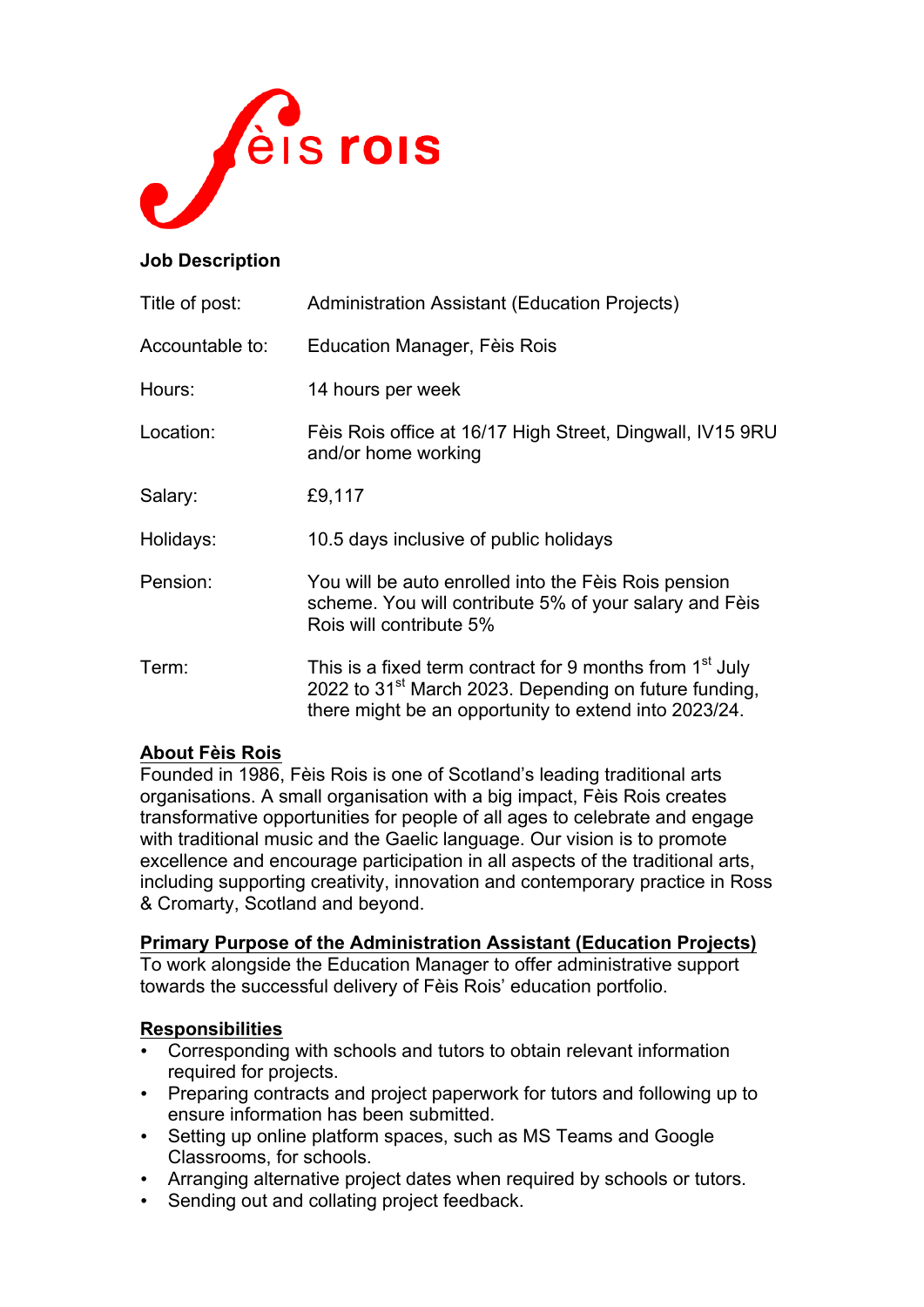

### **Job Description**

| Title of post:  | Administration Assistant (Education Projects)                                                                                                                                                      |
|-----------------|----------------------------------------------------------------------------------------------------------------------------------------------------------------------------------------------------|
| Accountable to: | Education Manager, Fèis Rois                                                                                                                                                                       |
| Hours:          | 14 hours per week                                                                                                                                                                                  |
| Location:       | Fèis Rois office at 16/17 High Street, Dingwall, IV15 9RU<br>and/or home working                                                                                                                   |
| Salary:         | £9,117                                                                                                                                                                                             |
| Holidays:       | 10.5 days inclusive of public holidays                                                                                                                                                             |
| Pension:        | You will be auto enrolled into the Fèis Rois pension<br>scheme. You will contribute 5% of your salary and Fèis<br>Rois will contribute 5%                                                          |
| Term:           | This is a fixed term contract for 9 months from 1 <sup>st</sup> July<br>2022 to 31 <sup>st</sup> March 2023. Depending on future funding,<br>there might be an opportunity to extend into 2023/24. |

## **About Fèis Rois**

Founded in 1986, Fèis Rois is one of Scotland's leading traditional arts organisations. A small organisation with a big impact, Fèis Rois creates transformative opportunities for people of all ages to celebrate and engage with traditional music and the Gaelic language. Our vision is to promote excellence and encourage participation in all aspects of the traditional arts, including supporting creativity, innovation and contemporary practice in Ross & Cromarty, Scotland and beyond.

#### **Primary Purpose of the Administration Assistant (Education Projects)**

To work alongside the Education Manager to offer administrative support towards the successful delivery of Fèis Rois' education portfolio.

### **Responsibilities**

- Corresponding with schools and tutors to obtain relevant information required for projects.
- Preparing contracts and project paperwork for tutors and following up to ensure information has been submitted.
- Setting up online platform spaces, such as MS Teams and Google Classrooms, for schools.
- Arranging alternative project dates when required by schools or tutors.
- Sending out and collating project feedback.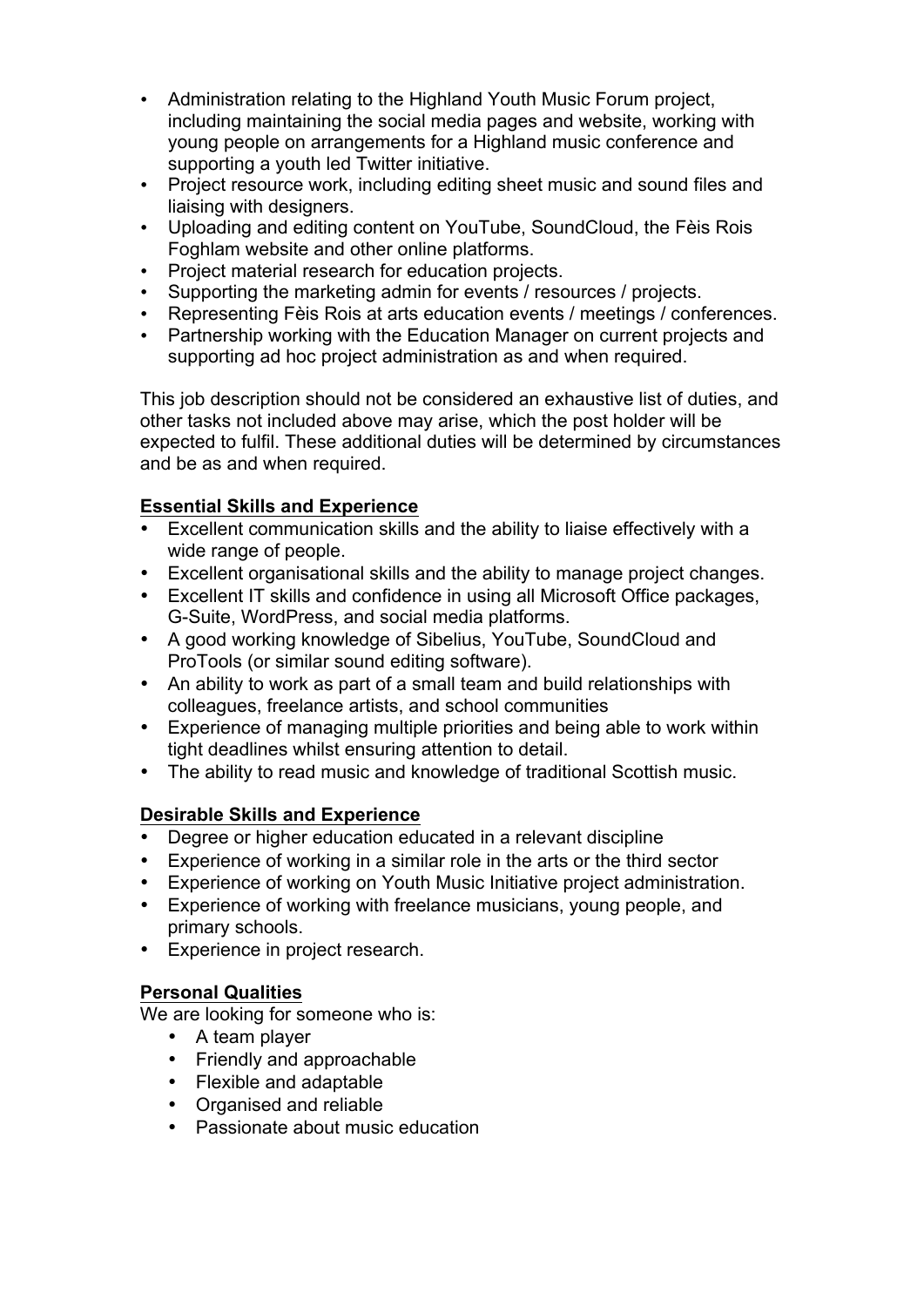- Administration relating to the Highland Youth Music Forum project, including maintaining the social media pages and website, working with young people on arrangements for a Highland music conference and supporting a youth led Twitter initiative.
- Project resource work, including editing sheet music and sound files and liaising with designers.
- Uploading and editing content on YouTube, SoundCloud, the Fèis Rois Foghlam website and other online platforms.
- Project material research for education projects.
- Supporting the marketing admin for events / resources / projects.
- Representing Fèis Rois at arts education events / meetings / conferences.
- Partnership working with the Education Manager on current projects and supporting ad hoc project administration as and when required.

This job description should not be considered an exhaustive list of duties, and other tasks not included above may arise, which the post holder will be expected to fulfil. These additional duties will be determined by circumstances and be as and when required.

# **Essential Skills and Experience**

- Excellent communication skills and the ability to liaise effectively with a wide range of people.
- Excellent organisational skills and the ability to manage project changes.
- Excellent IT skills and confidence in using all Microsoft Office packages, G-Suite, WordPress, and social media platforms.
- A good working knowledge of Sibelius, YouTube, SoundCloud and ProTools (or similar sound editing software).
- An ability to work as part of a small team and build relationships with colleagues, freelance artists, and school communities
- Experience of managing multiple priorities and being able to work within tight deadlines whilst ensuring attention to detail.
- The ability to read music and knowledge of traditional Scottish music.

# **Desirable Skills and Experience**

- Degree or higher education educated in a relevant discipline
- Experience of working in a similar role in the arts or the third sector
- Experience of working on Youth Music Initiative project administration.
- Experience of working with freelance musicians, young people, and primary schools.
- Experience in project research.

# **Personal Qualities**

We are looking for someone who is:

- A team player
- Friendly and approachable
- Flexible and adaptable
- Organised and reliable
- Passionate about music education